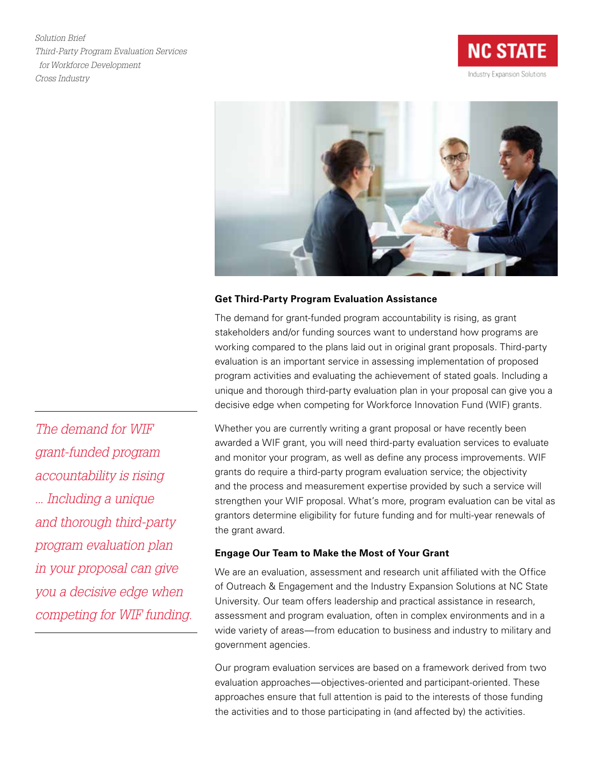*Solution Brief Third-Party Program Evaluation Services for Workforce Development Cross Industry*





## **Get Third-Party Program Evaluation Assistance**

The demand for grant-funded program accountability is rising, as grant stakeholders and/or funding sources want to understand how programs are working compared to the plans laid out in original grant proposals. Third-party evaluation is an important service in assessing implementation of proposed program activities and evaluating the achievement of stated goals. Including a unique and thorough third-party evaluation plan in your proposal can give you a decisive edge when competing for Workforce Innovation Fund (WIF) grants.

Whether you are currently writing a grant proposal or have recently been awarded a WIF grant, you will need third-party evaluation services to evaluate and monitor your program, as well as define any process improvements. WIF grants do require a third-party program evaluation service; the objectivity and the process and measurement expertise provided by such a service will strengthen your WIF proposal. What's more, program evaluation can be vital as grantors determine eligibility for future funding and for multi-year renewals of the grant award.

## **Engage Our Team to Make the Most of Your Grant**

We are an evaluation, assessment and research unit affiliated with the Office of Outreach & Engagement and the Industry Expansion Solutions at NC State University. Our team offers leadership and practical assistance in research, assessment and program evaluation, often in complex environments and in a wide variety of areas—from education to business and industry to military and government agencies.

Our program evaluation services are based on a framework derived from two evaluation approaches—objectives-oriented and participant-oriented. These approaches ensure that full attention is paid to the interests of those funding the activities and to those participating in (and affected by) the activities.

*The demand for WIF grant-funded program accountability is rising ... Including a unique and thorough third-party program evaluation plan in your proposal can give you a decisive edge when competing for WIF funding.*